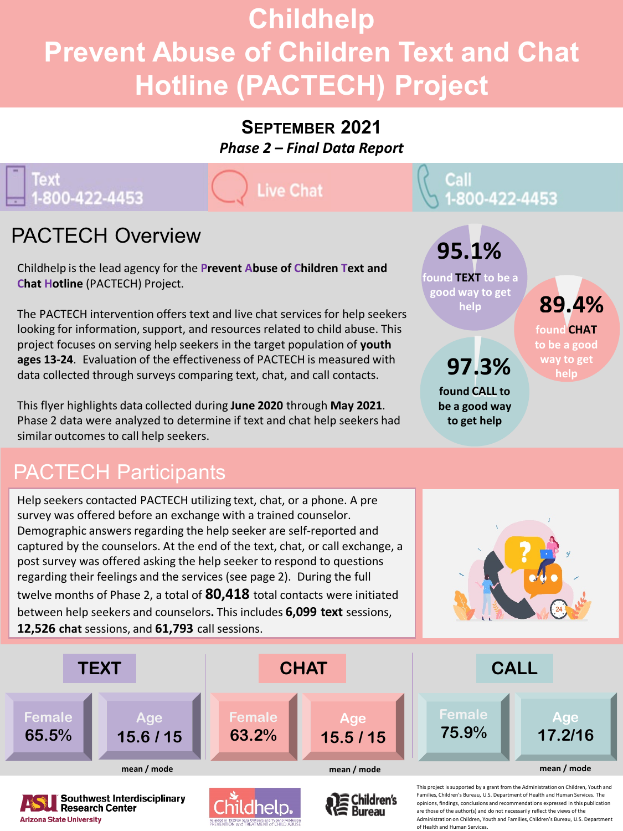# **Childhelp Prevent Abuse of Children Text and Chat Hotline (PACTECH) Project**

#### **SEPTEMBER 2021**

*Phase 2 – Final Data Report*

### Text 1-800-422-4453

**Live Chat** 

## PACTECH Overview

Childhelp is the lead agency for the **Prevent Abuse of Children Text and Chat Hotline** (PACTECH) Project.

The PACTECH intervention offers text and live chat services for help seekers looking for information, support, and resources related to child abuse. This project focuses on serving help seekers in the target population of **youth ages 13-24**. Evaluation of the effectiveness of PACTECH is measured with data collected through surveys comparing text, chat, and call contacts.

This flyer highlights data collected during **June 2020** through **May 2021**. Phase 2 data were analyzed to determine if text and chat help seekers had similar outcomes to call help seekers.

### PACTECH Participants

**Research Center** 

**Arizona State University** 

Help seekers contacted PACTECH utilizing text, chat, or a phone. A pre survey was offered before an exchange with a trained counselor. Demographic answers regarding the help seeker are self-reported and captured by the counselors. At the end of the text, chat, or call exchange, a post survey was offered asking the help seeker to respond to questions regarding their feelings and the services (see page 2). During the full twelve months of Phase 2, a total of **80,418** total contacts were initiated between help seekers and counselors**.** This includes **6,099 text** sessions, **12,526 chat** sessions, and **61,793** call sessions.



**found CHAT to be a good way to get help** 

**89.4%**



opinions, findings, conclusions and recommendations expressed in this publication are those of the author(s) and do not necessarily reflect the views of the

Administration on Children, Youth and Families, Children's Bureau, U.S. Dep of Health and Human Services.



**found TEXT to be a good way to get help** 

> **found CALL to be a good way to get help**

**97.3%**

**95.1%**

Call<br>1-800-422-4453